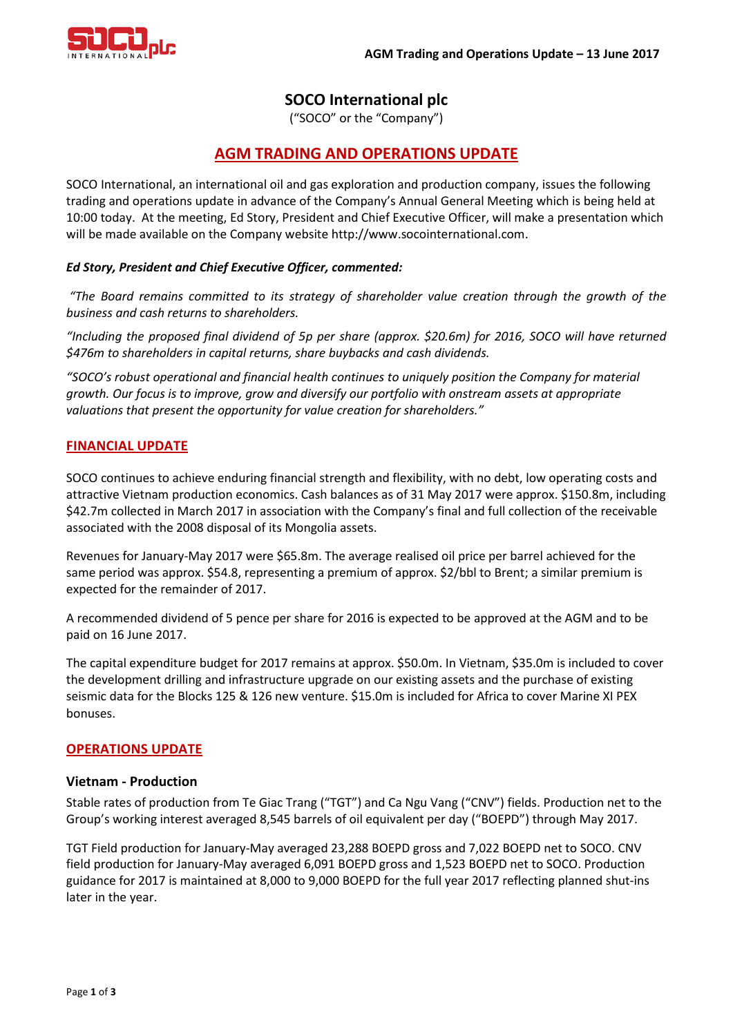

# **SOCO International plc**

("SOCO" or the "Company")

# **AGM TRADING AND OPERATIONS UPDATE**

SOCO International, an international oil and gas exploration and production company, issues the following trading and operations update in advance of the Company's Annual General Meeting which is being held at 10:00 today. At the meeting, Ed Story, President and Chief Executive Officer, will make a presentation which will be made available on the Company website http://www.socointernational.com.

# *Ed Story, President and Chief Executive Officer, commented:*

*"The Board remains committed to its strategy of shareholder value creation through the growth of the business and cash returns to shareholders.*

*"Including the proposed final dividend of 5p per share (approx. \$20.6m) for 2016, SOCO will have returned \$476m to shareholders in capital returns, share buybacks and cash dividends.* 

*"SOCO's robust operational and financial health continues to uniquely position the Company for material growth. Our focus is to improve, grow and diversify our portfolio with onstream assets at appropriate valuations that present the opportunity for value creation for shareholders."*

# **FINANCIAL UPDATE**

SOCO continues to achieve enduring financial strength and flexibility, with no debt, low operating costs and attractive Vietnam production economics. Cash balances as of 31 May 2017 were approx. \$150.8m, including \$42.7m collected in March 2017 in association with the Company's final and full collection of the receivable associated with the 2008 disposal of its Mongolia assets.

Revenues for January-May 2017 were \$65.8m. The average realised oil price per barrel achieved for the same period was approx. \$54.8, representing a premium of approx. \$2/bbl to Brent; a similar premium is expected for the remainder of 2017.

A recommended dividend of 5 pence per share for 2016 is expected to be approved at the AGM and to be paid on 16 June 2017.

The capital expenditure budget for 2017 remains at approx. \$50.0m. In Vietnam, \$35.0m is included to cover the development drilling and infrastructure upgrade on our existing assets and the purchase of existing seismic data for the Blocks 125 & 126 new venture. \$15.0m is included for Africa to cover Marine XI PEX bonuses.

# **OPERATIONS UPDATE**

# **Vietnam - Production**

Stable rates of production from Te Giac Trang ("TGT") and Ca Ngu Vang ("CNV") fields. Production net to the Group's working interest averaged 8,545 barrels of oil equivalent per day ("BOEPD") through May 2017.

TGT Field production for January-May averaged 23,288 BOEPD gross and 7,022 BOEPD net to SOCO. CNV field production for January-May averaged 6,091 BOEPD gross and 1,523 BOEPD net to SOCO. Production guidance for 2017 is maintained at 8,000 to 9,000 BOEPD for the full year 2017 reflecting planned shut-ins later in the year.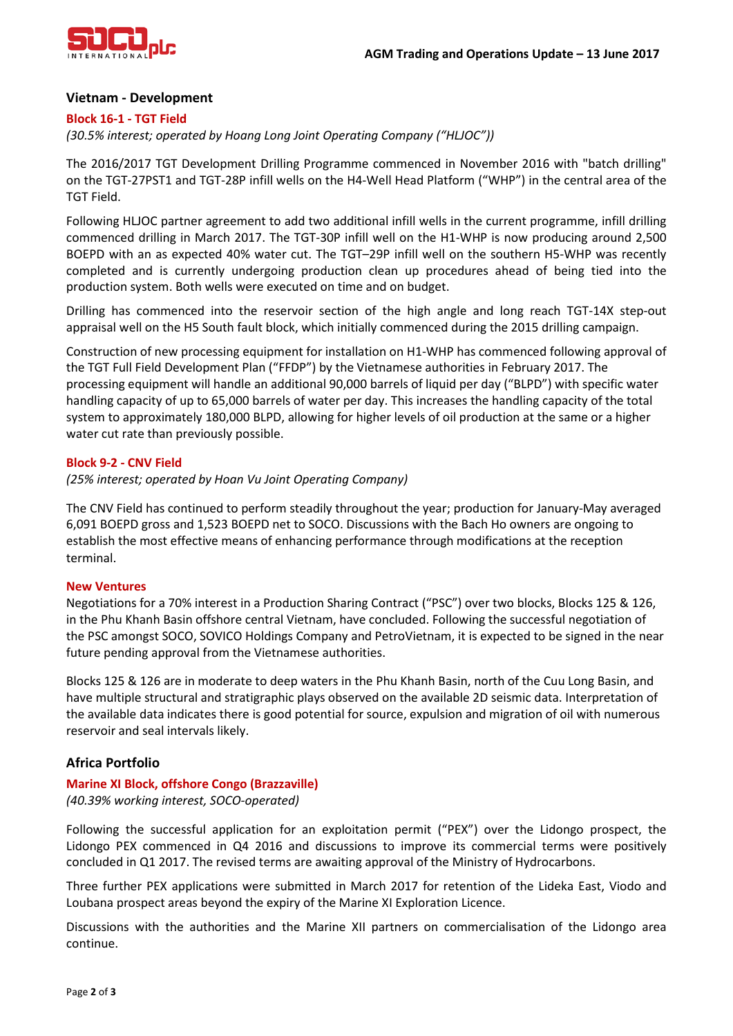

## **Vietnam - Development**

### **Block 16-1 - TGT Field**

*(30.5% interest; operated by Hoang Long Joint Operating Company ("HLJOC"))*

The 2016/2017 TGT Development Drilling Programme commenced in November 2016 with "batch drilling" on the TGT-27PST1 and TGT-28P infill wells on the H4-Well Head Platform ("WHP") in the central area of the TGT Field.

Following HLJOC partner agreement to add two additional infill wells in the current programme, infill drilling commenced drilling in March 2017. The TGT-30P infill well on the H1-WHP is now producing around 2,500 BOEPD with an as expected 40% water cut. The TGT–29P infill well on the southern H5-WHP was recently completed and is currently undergoing production clean up procedures ahead of being tied into the production system. Both wells were executed on time and on budget.

Drilling has commenced into the reservoir section of the high angle and long reach TGT-14X step-out appraisal well on the H5 South fault block, which initially commenced during the 2015 drilling campaign.

Construction of new processing equipment for installation on H1-WHP has commenced following approval of the TGT Full Field Development Plan ("FFDP") by the Vietnamese authorities in February 2017. The processing equipment will handle an additional 90,000 barrels of liquid per day ("BLPD") with specific water handling capacity of up to 65,000 barrels of water per day. This increases the handling capacity of the total system to approximately 180,000 BLPD, allowing for higher levels of oil production at the same or a higher water cut rate than previously possible.

## **Block 9-2 - CNV Field**

*(25% interest; operated by Hoan Vu Joint Operating Company)*

The CNV Field has continued to perform steadily throughout the year; production for January-May averaged 6,091 BOEPD gross and 1,523 BOEPD net to SOCO. Discussions with the Bach Ho owners are ongoing to establish the most effective means of enhancing performance through modifications at the reception terminal.

## **New Ventures**

Negotiations for a 70% interest in a Production Sharing Contract ("PSC") over two blocks, Blocks 125 & 126, in the Phu Khanh Basin offshore central Vietnam, have concluded. Following the successful negotiation of the PSC amongst SOCO, SOVICO Holdings Company and PetroVietnam, it is expected to be signed in the near future pending approval from the Vietnamese authorities.

Blocks 125 & 126 are in moderate to deep waters in the Phu Khanh Basin, north of the Cuu Long Basin, and have multiple structural and stratigraphic plays observed on the available 2D seismic data. Interpretation of the available data indicates there is good potential for source, expulsion and migration of oil with numerous reservoir and seal intervals likely.

# **Africa Portfolio**

## **Marine XI Block, offshore Congo (Brazzaville)**

*(40.39% working interest, SOCO-operated)*

Following the successful application for an exploitation permit ("PEX") over the Lidongo prospect, the Lidongo PEX commenced in Q4 2016 and discussions to improve its commercial terms were positively concluded in Q1 2017. The revised terms are awaiting approval of the Ministry of Hydrocarbons.

Three further PEX applications were submitted in March 2017 for retention of the Lideka East, Viodo and Loubana prospect areas beyond the expiry of the Marine XI Exploration Licence.

Discussions with the authorities and the Marine XII partners on commercialisation of the Lidongo area continue.